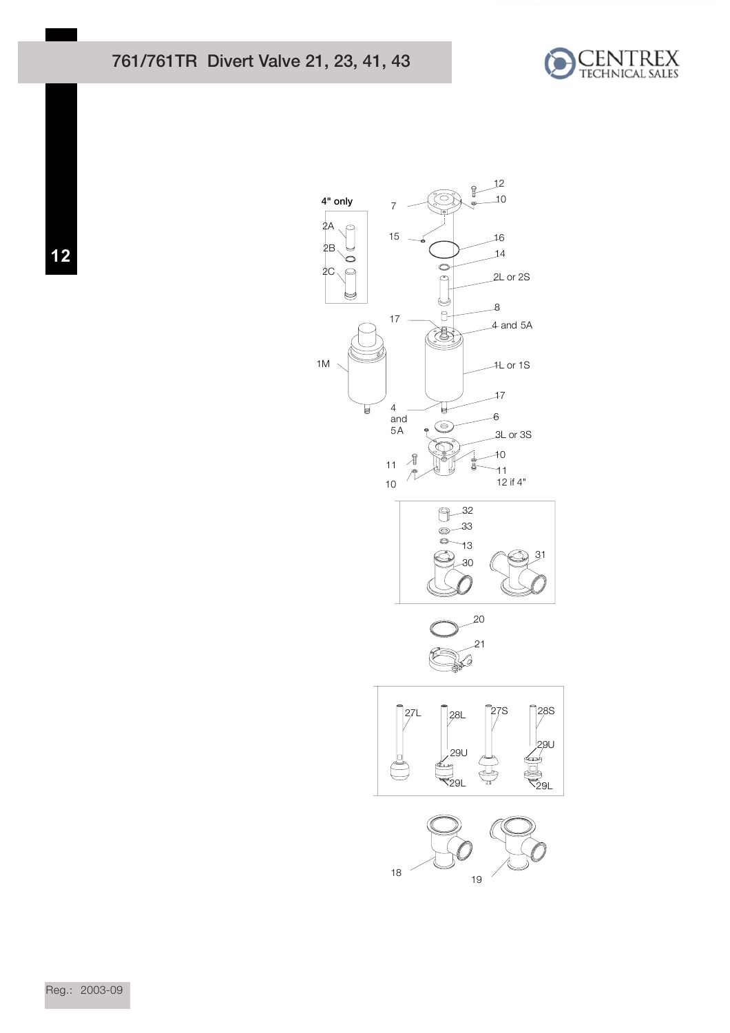



 $12$